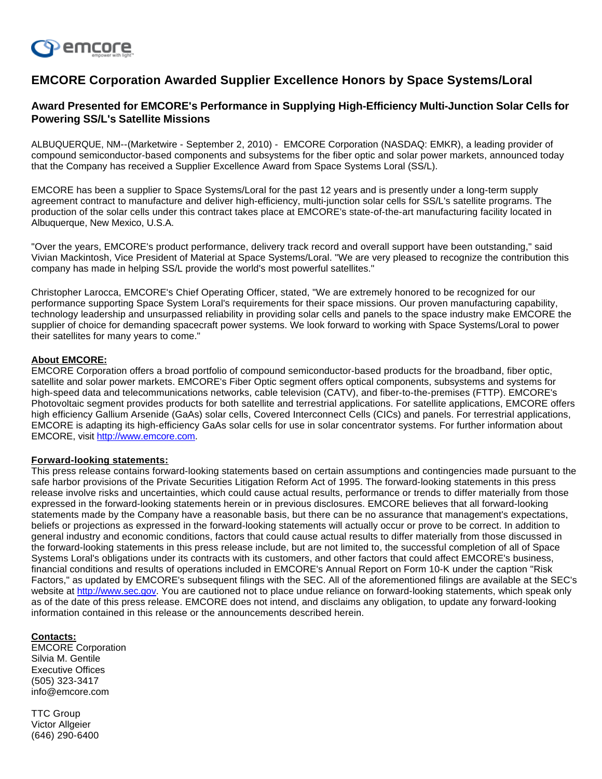

# **EMCORE Corporation Awarded Supplier Excellence Honors by Space Systems/Loral**

# **Award Presented for EMCORE's Performance in Supplying High-Efficiency Multi-Junction Solar Cells for Powering SS/L's Satellite Missions**

ALBUQUERQUE, NM--(Marketwire - September 2, 2010) - EMCORE Corporation (NASDAQ: EMKR), a leading provider of compound semiconductor-based components and subsystems for the fiber optic and solar power markets, announced today that the Company has received a Supplier Excellence Award from Space Systems Loral (SS/L).

EMCORE has been a supplier to Space Systems/Loral for the past 12 years and is presently under a long-term supply agreement contract to manufacture and deliver high-efficiency, multi-junction solar cells for SS/L's satellite programs. The production of the solar cells under this contract takes place at EMCORE's state-of-the-art manufacturing facility located in Albuquerque, New Mexico, U.S.A.

"Over the years, EMCORE's product performance, delivery track record and overall support have been outstanding," said Vivian Mackintosh, Vice President of Material at Space Systems/Loral. "We are very pleased to recognize the contribution this company has made in helping SS/L provide the world's most powerful satellites."

Christopher Larocca, EMCORE's Chief Operating Officer, stated, "We are extremely honored to be recognized for our performance supporting Space System Loral's requirements for their space missions. Our proven manufacturing capability, technology leadership and unsurpassed reliability in providing solar cells and panels to the space industry make EMCORE the supplier of choice for demanding spacecraft power systems. We look forward to working with Space Systems/Loral to power their satellites for many years to come."

## **About EMCORE:**

EMCORE Corporation offers a broad portfolio of compound semiconductor-based products for the broadband, fiber optic, satellite and solar power markets. EMCORE's Fiber Optic segment offers optical components, subsystems and systems for high-speed data and telecommunications networks, cable television (CATV), and fiber-to-the-premises (FTTP). EMCORE's Photovoltaic segment provides products for both satellite and terrestrial applications. For satellite applications, EMCORE offers high efficiency Gallium Arsenide (GaAs) solar cells, Covered Interconnect Cells (CICs) and panels. For terrestrial applications, EMCORE is adapting its high-efficiency GaAs solar cells for use in solar concentrator systems. For further information about EMCORE, visit [http://www.emcore.com](http://www.emcore.com/).

### **Forward-looking statements:**

This press release contains forward-looking statements based on certain assumptions and contingencies made pursuant to the safe harbor provisions of the Private Securities Litigation Reform Act of 1995. The forward-looking statements in this press release involve risks and uncertainties, which could cause actual results, performance or trends to differ materially from those expressed in the forward-looking statements herein or in previous disclosures. EMCORE believes that all forward-looking statements made by the Company have a reasonable basis, but there can be no assurance that management's expectations, beliefs or projections as expressed in the forward-looking statements will actually occur or prove to be correct. In addition to general industry and economic conditions, factors that could cause actual results to differ materially from those discussed in the forward-looking statements in this press release include, but are not limited to, the successful completion of all of Space Systems Loral's obligations under its contracts with its customers, and other factors that could affect EMCORE's business, financial conditions and results of operations included in EMCORE's Annual Report on Form 10-K under the caption "Risk Factors," as updated by EMCORE's subsequent filings with the SEC. All of the aforementioned filings are available at the SEC's website at [http://www.sec.gov.](http://www.sec.gov/) You are cautioned not to place undue reliance on forward-looking statements, which speak only as of the date of this press release. EMCORE does not intend, and disclaims any obligation, to update any forward-looking information contained in this release or the announcements described herein.

### **Contacts:**

EMCORE Corporation Silvia M. Gentile Executive Offices (505) 323-3417 info@emcore.com

TTC Group Victor Allgeier (646) 290-6400